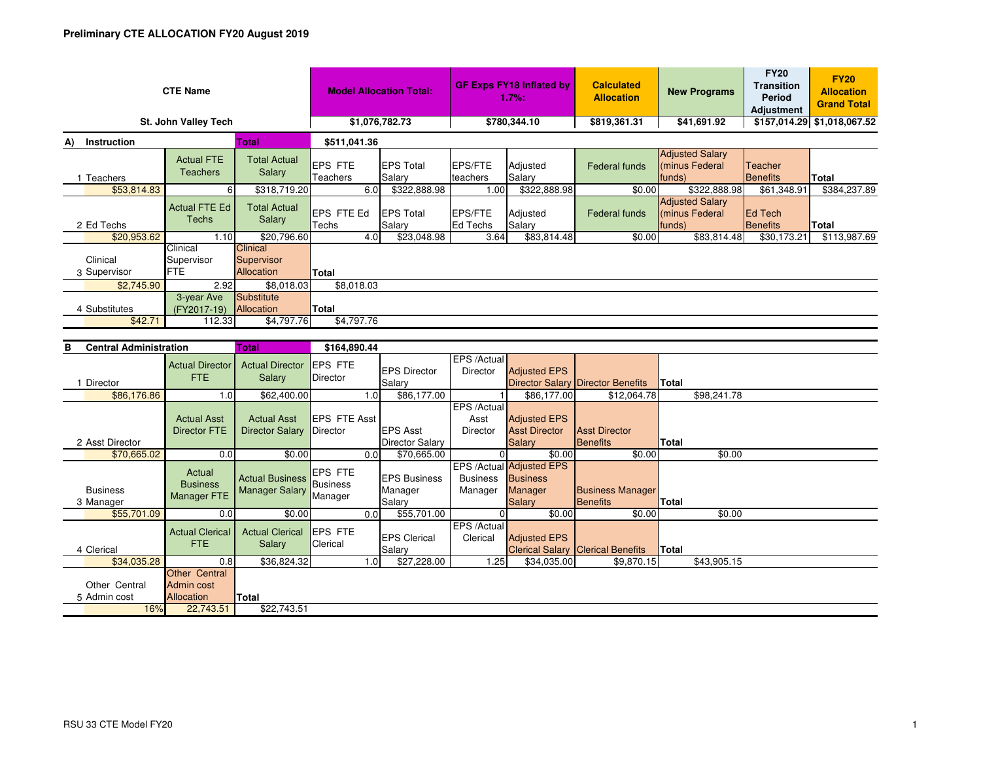| <b>CTE Name</b>                                    |                                      |                                             | <b>Model Allocation Total:</b>     |                             | <b>GF Exps FY18 Inflated by</b><br>1.7%: |                    | <b>Calculated</b><br><b>Allocation</b> | <b>New Programs</b>                                | <b>FY20</b><br><b>Transition</b><br>Period<br><b>Adjustment</b> | <b>FY20</b><br><b>Allocation</b><br><b>Grand Total</b> |  |
|----------------------------------------------------|--------------------------------------|---------------------------------------------|------------------------------------|-----------------------------|------------------------------------------|--------------------|----------------------------------------|----------------------------------------------------|-----------------------------------------------------------------|--------------------------------------------------------|--|
| St. John Valley Tech                               |                                      |                                             | \$1,076,782.73                     |                             | \$780,344.10                             |                    | \$819,361.31                           | \$41,691.92                                        |                                                                 | \$157,014.29 \$1,018,067.52                            |  |
| Total<br>Instruction<br>A)                         |                                      |                                             | \$511,041.36                       |                             |                                          |                    |                                        |                                                    |                                                                 |                                                        |  |
| 1 Teachers                                         | <b>Actual FTE</b><br><b>Teachers</b> | <b>Total Actual</b><br>Salary               | <b>IEPS FTE</b><br><b>Teachers</b> | <b>IEPS Total</b><br>Salary | <b>EPS/FTE</b><br>teachers               | Adjusted<br>Salary | <b>Federal funds</b>                   | <b>Adjusted Salary</b><br>minus Federal<br>(funds) | Teacher<br>Benefits                                             | Total                                                  |  |
| \$53,814.83                                        | 6                                    | \$318,719.20                                | 6.0                                | \$322,888.98                | 1.00                                     | \$322,888.98       | \$0.00                                 | \$322,888.98                                       | \$61,348.91                                                     | \$384,237.89                                           |  |
| 2 Ed Techs                                         | Actual FTE Ed<br>Techs               | <b>Total Actual</b><br>Salary               | EPS FTE Ed<br>Techs                | <b>IEPS Total</b><br>Salary | EPS/FTE<br><b>Ed Techs</b>               | Adjusted<br>Salary | <b>Federal funds</b>                   | <b>Adjusted Salary</b><br>minus Federal<br>funds)  | <b>IEd Tech</b><br>Benefits                                     | <b>Total</b>                                           |  |
| \$20,953.62                                        | 1.10                                 | \$20,796.60                                 | 4.0                                | \$23,048.98                 | 3.64                                     | \$83,814.48        | \$0.00                                 | \$83,814.48                                        | \$30,173.21                                                     | \$113,987.69                                           |  |
| Clinical<br>3 Supervisor                           | Clinical<br>Supervisor<br>FTE.       | <b>Clinical</b><br>Supervisor<br>Allocation | Total                              |                             |                                          |                    |                                        |                                                    |                                                                 |                                                        |  |
| \$2,745.90                                         | 2.92                                 | \$8,018.03                                  | \$8,018.03                         |                             |                                          |                    |                                        |                                                    |                                                                 |                                                        |  |
| 4 Substitutes                                      | 3-year Ave<br>(FY2017-19)            | Substitute<br>Allocation                    | Total                              |                             |                                          |                    |                                        |                                                    |                                                                 |                                                        |  |
| \$42.71                                            | 112.33                               | \$4,797.76                                  | \$4,797.76                         |                             |                                          |                    |                                        |                                                    |                                                                 |                                                        |  |
| <b>Central Administration</b><br><b>Total</b><br>в |                                      |                                             | \$164,890.44                       |                             |                                          |                    |                                        |                                                    |                                                                 |                                                        |  |

| o<br>GEILIAI AUIIIIIII IUIIII |                                           | ι υιαι                                       | \$104,090.44                          |                                          |                                 |                                                                                |                                            |              |             |  |
|-------------------------------|-------------------------------------------|----------------------------------------------|---------------------------------------|------------------------------------------|---------------------------------|--------------------------------------------------------------------------------|--------------------------------------------|--------------|-------------|--|
| Director                      | <b>Actual Director</b><br>FTE.            | <b>Actual Director</b><br>Salary             | <b>IEPS FTE</b><br>Director           | <b>EPS Director</b><br>Salary            | EPS /Actual<br>Director         | <b>Adjusted EPS</b>                                                            | Director Salary Director Benefits          | Total        |             |  |
| \$86,176.86                   | 1.0                                       | \$62,400.00                                  | 1.0                                   | \$86,177.00                              |                                 | \$86,177.00                                                                    | \$12,064.78                                |              | \$98,241.78 |  |
|                               | <b>Actual Asst</b><br>Director FTE        | <b>Actual Asst</b><br><b>Director Salary</b> | <b>EPS FTE Asst</b><br>Director       | <b>EPS Asst</b>                          | EPS /Actual<br>Asst<br>Director | <b>Adjusted EPS</b><br><b>Asst Director</b>                                    | <b>Asst Director</b>                       |              |             |  |
| 2 Asst Director               |                                           |                                              |                                       | Director Salary                          |                                 | <b>Salary</b>                                                                  | <b>Benefits</b>                            | Total        |             |  |
| \$70,665.02                   | 0.0                                       | \$0.00                                       | 0.0                                   | \$70,665.00                              |                                 | \$0.00                                                                         | \$0.00                                     |              | \$0.00      |  |
| <b>Business</b><br>3 Manager  | Actual<br><b>Business</b><br>Manager FTE  | <b>Actual Business</b><br>Manager Salary     | <b>EPS FTE</b><br>Business<br>Manager | <b>EPS Business</b><br>Manager<br>Salary | <b>Business</b><br>Manager      | EPS /Actual Adjusted EPS<br><b>Business</b><br><b>Manager</b><br><b>Salary</b> | <b>Business Manager</b><br><b>Benefits</b> | Total        |             |  |
| \$55,701.09                   | 0.0                                       | \$0.00                                       | 0.0                                   | \$55,701.00                              |                                 | \$0.00                                                                         | \$0.00                                     |              | \$0.00      |  |
| 4 Clerical                    | <b>Actual Clerical</b><br><b>FTE</b>      | <b>Actual Clerical</b><br>Salary             | <b>IEPS FTE</b><br>Clerical           | <b>EPS Clerical</b><br>Salary            | EPS /Actual<br>Clerical         | <b>Adjusted EPS</b>                                                            | <b>Clerical Salary Clerical Benefits</b>   | <b>Total</b> |             |  |
| \$34,035.28                   | 0.8                                       | \$36,824.32                                  | 1.0 <sub>1</sub>                      | \$27,228.00                              | 1.25                            | \$34,035.00                                                                    | \$9,870.15                                 |              | \$43,905.15 |  |
| Other Central<br>5 Admin cost | Other Central<br>Admin cost<br>Allocation | Total                                        |                                       |                                          |                                 |                                                                                |                                            |              |             |  |
| 16%                           | 22,743.51                                 | \$22,743.51                                  |                                       |                                          |                                 |                                                                                |                                            |              |             |  |
|                               |                                           |                                              |                                       |                                          |                                 |                                                                                |                                            |              |             |  |